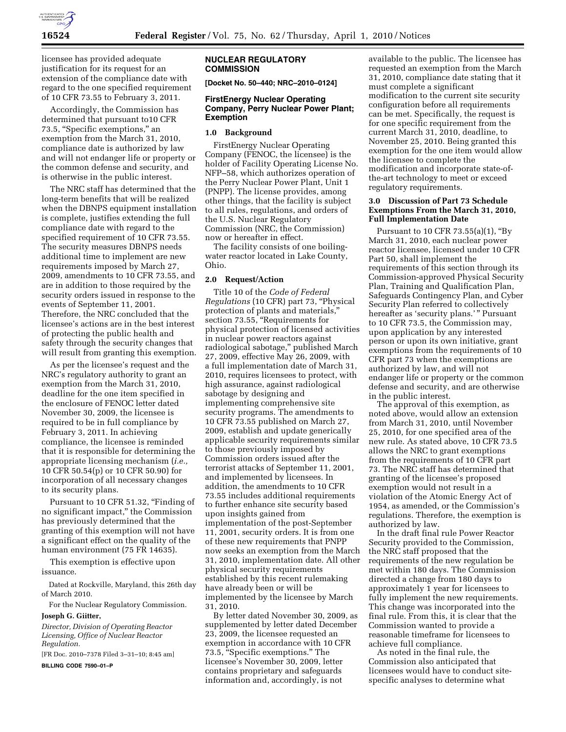

licensee has provided adequate justification for its request for an extension of the compliance date with regard to the one specified requirement of 10 CFR 73.55 to February 3, 2011.

Accordingly, the Commission has determined that pursuant to10 CFR 73.5, "Specific exemptions," an exemption from the March 31, 2010, compliance date is authorized by law and will not endanger life or property or the common defense and security, and is otherwise in the public interest.

The NRC staff has determined that the long-term benefits that will be realized when the DBNPS equipment installation is complete, justifies extending the full compliance date with regard to the specified requirement of 10 CFR 73.55. The security measures DBNPS needs additional time to implement are new requirements imposed by March 27, 2009, amendments to 10 CFR 73.55, and are in addition to those required by the security orders issued in response to the events of September 11, 2001. Therefore, the NRC concluded that the licensee's actions are in the best interest of protecting the public health and safety through the security changes that will result from granting this exemption.

As per the licensee's request and the NRC's regulatory authority to grant an exemption from the March 31, 2010, deadline for the one item specified in the enclosure of FENOC letter dated November 30, 2009, the licensee is required to be in full compliance by February 3, 2011. In achieving compliance, the licensee is reminded that it is responsible for determining the appropriate licensing mechanism (*i.e.,*  10 CFR 50.54(p) or 10 CFR 50.90) for incorporation of all necessary changes to its security plans.

Pursuant to 10 CFR 51.32, "Finding of no significant impact,'' the Commission has previously determined that the granting of this exemption will not have a significant effect on the quality of the human environment (75 FR 14635).

This exemption is effective upon issuance.

Dated at Rockville, Maryland, this 26th day of March 2010.

For the Nuclear Regulatory Commission.

### **Joseph G. Giitter,**

*Director, Division of Operating Reactor Licensing, Office of Nuclear Reactor Regulation.*  [FR Doc. 2010–7378 Filed 3–31–10; 8:45 am]

**BILLING CODE 7590–01–P** 

## **NUCLEAR REGULATORY COMMISSION**

**[Docket No. 50–440; NRC–2010–0124]** 

### **FirstEnergy Nuclear Operating Company, Perry Nuclear Power Plant; Exemption**

# **1.0 Background**

FirstEnergy Nuclear Operating Company (FENOC, the licensee) is the holder of Facility Operating License No. NFP–58, which authorizes operation of the Perry Nuclear Power Plant, Unit 1 (PNPP). The license provides, among other things, that the facility is subject to all rules, regulations, and orders of the U.S. Nuclear Regulatory Commission (NRC, the Commission) now or hereafter in effect.

The facility consists of one boilingwater reactor located in Lake County, Ohio.

### **2.0 Request/Action**

Title 10 of the *Code of Federal Regulations* (10 CFR) part 73, ''Physical protection of plants and materials,'' section 73.55, "Requirements for physical protection of licensed activities in nuclear power reactors against radiological sabotage,'' published March 27, 2009, effective May 26, 2009, with a full implementation date of March 31, 2010, requires licensees to protect, with high assurance, against radiological sabotage by designing and implementing comprehensive site security programs. The amendments to 10 CFR 73.55 published on March 27, 2009, establish and update generically applicable security requirements similar to those previously imposed by Commission orders issued after the terrorist attacks of September 11, 2001, and implemented by licensees. In addition, the amendments to 10 CFR 73.55 includes additional requirements to further enhance site security based upon insights gained from implementation of the post-September 11, 2001, security orders. It is from one of these new requirements that PNPP now seeks an exemption from the March 31, 2010, implementation date. All other physical security requirements established by this recent rulemaking have already been or will be implemented by the licensee by March 31, 2010.

By letter dated November 30, 2009, as supplemented by letter dated December 23, 2009, the licensee requested an exemption in accordance with 10 CFR 73.5, "Specific exemptions." The licensee's November 30, 2009, letter contains proprietary and safeguards information and, accordingly, is not

available to the public. The licensee has requested an exemption from the March 31, 2010, compliance date stating that it must complete a significant modification to the current site security configuration before all requirements can be met. Specifically, the request is for one specific requirement from the current March 31, 2010, deadline, to November 25, 2010. Being granted this exemption for the one item would allow the licensee to complete the modification and incorporate state-ofthe-art technology to meet or exceed regulatory requirements.

### **3.0 Discussion of Part 73 Schedule Exemptions From the March 31, 2010, Full Implementation Date**

Pursuant to 10 CFR 73.55(a)(1), ''By March 31, 2010, each nuclear power reactor licensee, licensed under 10 CFR Part 50, shall implement the requirements of this section through its Commission-approved Physical Security Plan, Training and Qualification Plan, Safeguards Contingency Plan, and Cyber Security Plan referred to collectively hereafter as 'security plans.'" Pursuant to 10 CFR 73.5, the Commission may, upon application by any interested person or upon its own initiative, grant exemptions from the requirements of 10 CFR part 73 when the exemptions are authorized by law, and will not endanger life or property or the common defense and security, and are otherwise in the public interest.

The approval of this exemption, as noted above, would allow an extension from March 31, 2010, until November 25, 2010, for one specified area of the new rule. As stated above, 10 CFR 73.5 allows the NRC to grant exemptions from the requirements of 10 CFR part 73. The NRC staff has determined that granting of the licensee's proposed exemption would not result in a violation of the Atomic Energy Act of 1954, as amended, or the Commission's regulations. Therefore, the exemption is authorized by law.

In the draft final rule Power Reactor Security provided to the Commission, the NRC staff proposed that the requirements of the new regulation be met within 180 days. The Commission directed a change from 180 days to approximately 1 year for licensees to fully implement the new requirements. This change was incorporated into the final rule. From this, it is clear that the Commission wanted to provide a reasonable timeframe for licensees to achieve full compliance.

As noted in the final rule, the Commission also anticipated that licensees would have to conduct sitespecific analyses to determine what